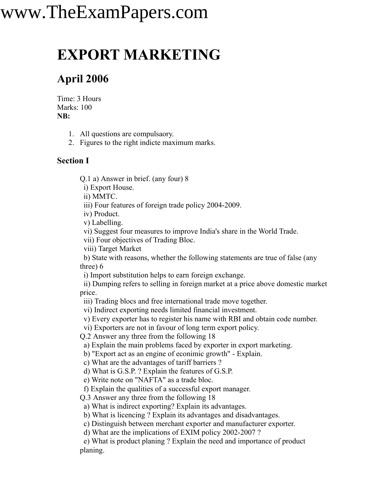## www.TheExamPapers.com

### **EXPORT MARKETING**

### **April 2006**

Time: 3 Hours Marks: 100 **NB:**

1. All questions are compulsaory.

2. Figures to the right indicte maximum marks.

#### **Section I**

Q.1 a) Answer in brief. (any four) 8

i) Export House.

ii) MMTC.

iii) Four features of foreign trade policy 2004-2009.

iv) Product.

v) Labelling.

vi) Suggest four measures to improve India's share in the World Trade.

vii) Four objectives of Trading Bloc.

viii) Target Market

b) State with reasons, whether the following statements are true of false (any three) 6

i) Import substitution helps to earn foreign exchange.

ii) Dumping refers to selling in foreign market at a price above domestic market price.

iii) Trading blocs and free international trade move together.

vi) Indirect exporting needs limited financial investment.

v) Every exporter has to register his name with RBI and obtain code number.

vi) Exporters are not in favour of long term export policy.

Q.2 Answer any three from the following 18

a) Explain the main problems faced by exporter in export marketing.

b) "Export act as an engine of econimic growth" - Explain.

c) What are the advantages of tariff barriers ?

d) What is G.S.P. ? Explain the features of G.S.P.

e) Write note on "NAFTA" as a trade bloc.

f) Explain the qualities of a successful export manager.

Q.3 Answer any three from the following 18

a) What is indirect exporting? Explain its advantages.

b) What is licencing ? Explain its advantages and disadvantages.

c) Distinguish between merchant exporter and manufacturer exporter.

d) What are the implications of EXIM policy 2002-2007 ?

e) What is product planing ? Explain the need and importance of product planing.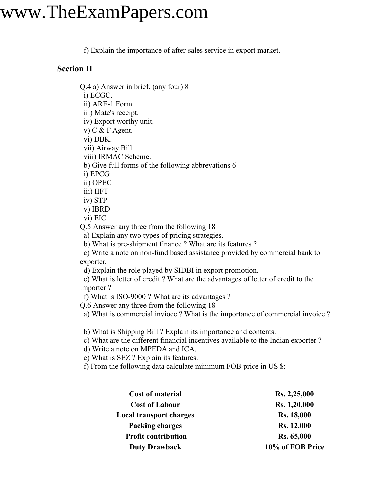### www.TheExamPapers.com

f) Explain the importance of after-sales service in export market.

#### **Section II**

Q.4 a) Answer in brief. (any four) 8

i) ECGC.

ii) ARE-1 Form.

iii) Mate's receipt.

iv) Export worthy unit.

v) C & F Agent.

vi) DBK.

vii) Airway Bill.

viii) IRMAC Scheme.

b) Give full forms of the following abbrevations 6

i) EPCG

ii) OPEC

iii) IIFT

iv) STP

v) IBRD

vi) EIC

Q.5 Answer any three from the following 18

a) Explain any two types of pricing strategies.

b) What is pre-shipment finance ? What are its features ?

c) Write a note on non-fund based assistance provided by commercial bank to exporter.

d) Explain the role played by SIDBI in export promotion.

e) What is letter of credit ? What are the advantages of letter of credit to the importer ?

f) What is ISO-9000 ? What are its advantages ?

Q.6 Answer any three from the following 18

a) What is commercial invioce ? What is the importance of commercial invoice ?

b) What is Shipping Bill ? Explain its importance and contents.

c) What are the different financial incentives available to the Indian exporter ?

d) Write a note on MPEDA and ICA.

e) What is SEZ ? Explain its features.

f) From the following data calculate minimum FOB price in US \$:-

| <b>Cost of material</b>        | Rs. 2,25,000      |
|--------------------------------|-------------------|
| <b>Cost of Labour</b>          | Rs. 1,20,000      |
| <b>Local transport charges</b> | <b>Rs. 18,000</b> |
| <b>Packing charges</b>         | <b>Rs. 12,000</b> |
| <b>Profit contribution</b>     | Rs. 65,000        |
| <b>Duty Drawback</b>           | 10% of FOB Price  |